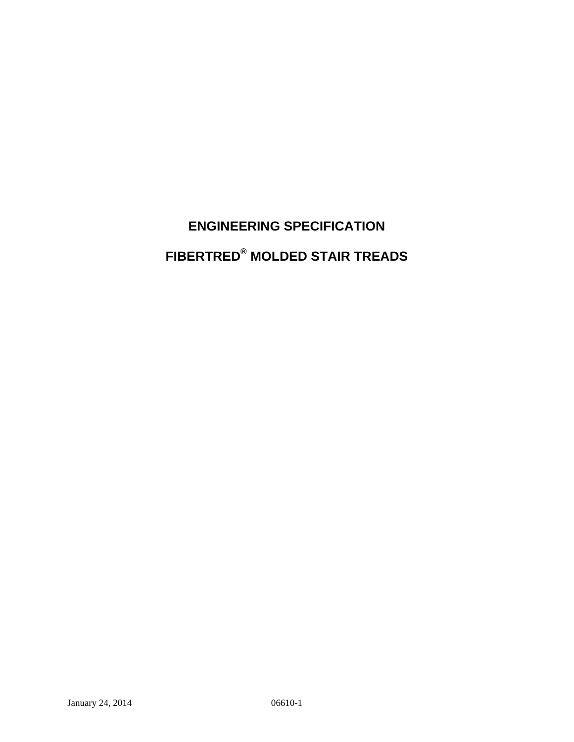# **ENGINEERING SPECIFICATION FIBERTRED® MOLDED STAIR TREADS**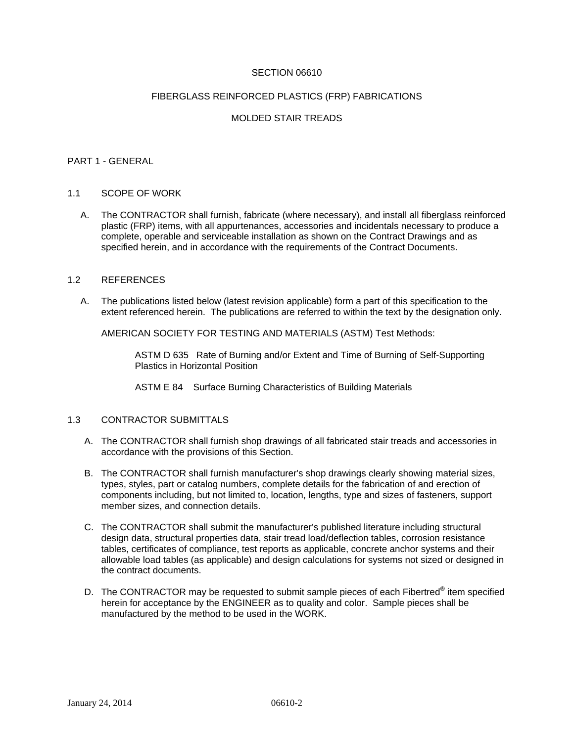# SECTION 06610

#### FIBERGLASS REINFORCED PLASTICS (FRP) FABRICATIONS

# MOLDED STAIR TREADS

#### PART 1 - GENERAL

#### 1.1 SCOPE OF WORK

 A. The CONTRACTOR shall furnish, fabricate (where necessary), and install all fiberglass reinforced plastic (FRP) items, with all appurtenances, accessories and incidentals necessary to produce a complete, operable and serviceable installation as shown on the Contract Drawings and as specified herein, and in accordance with the requirements of the Contract Documents.

#### 1.2 REFERENCES

 A. The publications listed below (latest revision applicable) form a part of this specification to the extent referenced herein. The publications are referred to within the text by the designation only.

AMERICAN SOCIETY FOR TESTING AND MATERIALS (ASTM) Test Methods:

ASTM D 635 Rate of Burning and/or Extent and Time of Burning of Self-Supporting Plastics in Horizontal Position

ASTM E 84 Surface Burning Characteristics of Building Materials

# 1.3 CONTRACTOR SUBMITTALS

- A. The CONTRACTOR shall furnish shop drawings of all fabricated stair treads and accessories in accordance with the provisions of this Section.
- B. The CONTRACTOR shall furnish manufacturer's shop drawings clearly showing material sizes, types, styles, part or catalog numbers, complete details for the fabrication of and erection of components including, but not limited to, location, lengths, type and sizes of fasteners, support member sizes, and connection details.
- C. The CONTRACTOR shall submit the manufacturer's published literature including structural design data, structural properties data, stair tread load/deflection tables, corrosion resistance tables, certificates of compliance, test reports as applicable, concrete anchor systems and their allowable load tables (as applicable) and design calculations for systems not sized or designed in the contract documents.
- D. The CONTRACTOR may be requested to submit sample pieces of each Fibertred<sup>®</sup> item specified herein for acceptance by the ENGINEER as to quality and color. Sample pieces shall be manufactured by the method to be used in the WORK.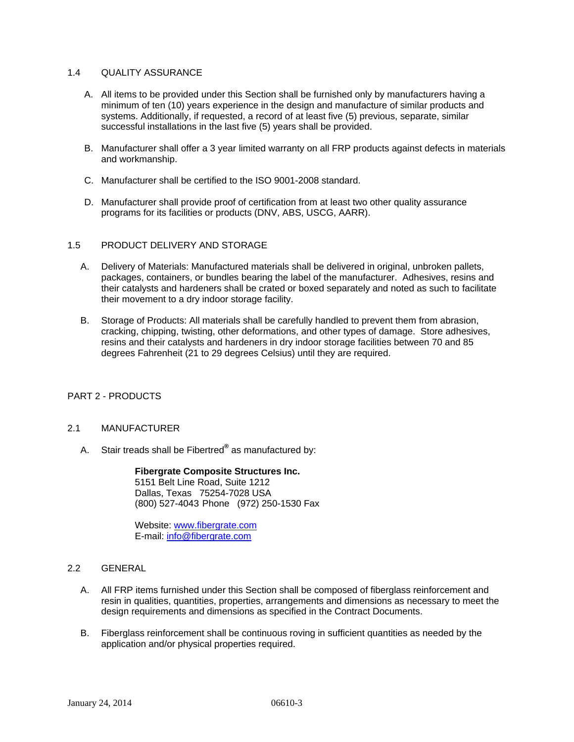# 1.4 QUALITY ASSURANCE

- A. All items to be provided under this Section shall be furnished only by manufacturers having a minimum of ten (10) years experience in the design and manufacture of similar products and systems. Additionally, if requested, a record of at least five (5) previous, separate, similar successful installations in the last five (5) years shall be provided.
- B. Manufacturer shall offer a 3 year limited warranty on all FRP products against defects in materials and workmanship.
- C. Manufacturer shall be certified to the ISO 9001-2008 standard.
- D. Manufacturer shall provide proof of certification from at least two other quality assurance programs for its facilities or products (DNV, ABS, USCG, AARR).

#### 1.5 PRODUCT DELIVERY AND STORAGE

- A. Delivery of Materials: Manufactured materials shall be delivered in original, unbroken pallets, packages, containers, or bundles bearing the label of the manufacturer. Adhesives, resins and their catalysts and hardeners shall be crated or boxed separately and noted as such to facilitate their movement to a dry indoor storage facility.
- B. Storage of Products: All materials shall be carefully handled to prevent them from abrasion, cracking, chipping, twisting, other deformations, and other types of damage. Store adhesives, resins and their catalysts and hardeners in dry indoor storage facilities between 70 and 85 degrees Fahrenheit (21 to 29 degrees Celsius) until they are required.

# PART 2 - PRODUCTS

#### 2.1 MANUFACTURER

A. Stair treads shall be Fibertred**®** as manufactured by:

 **Fibergrate Composite Structures Inc.** 5151 Belt Line Road, Suite 1212 Dallas, Texas 75254-7028 USA (800) 527-4043 Phone (972) 250-1530 Fax

Website: www.fibergrate.com E-mail: info@fibergrate.com

# 2.2 GENERAL

- A. All FRP items furnished under this Section shall be composed of fiberglass reinforcement and resin in qualities, quantities, properties, arrangements and dimensions as necessary to meet the design requirements and dimensions as specified in the Contract Documents.
- B. Fiberglass reinforcement shall be continuous roving in sufficient quantities as needed by the application and/or physical properties required.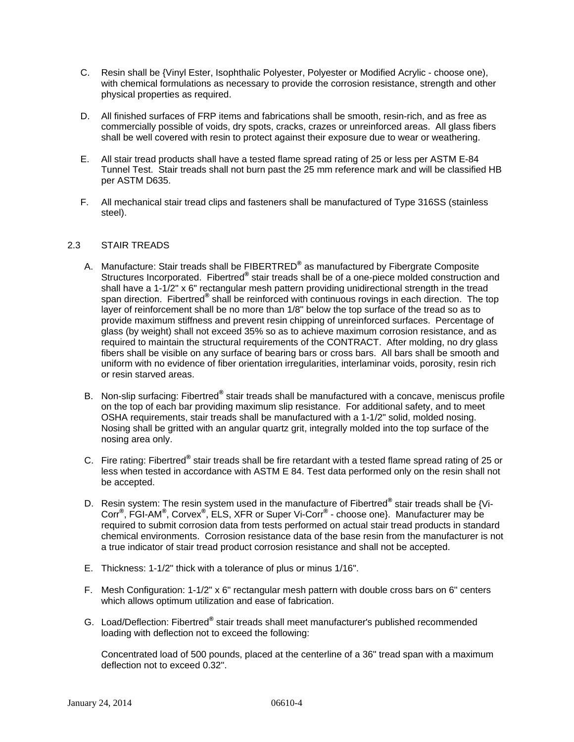- C. Resin shall be {Vinyl Ester, Isophthalic Polyester, Polyester or Modified Acrylic choose one), with chemical formulations as necessary to provide the corrosion resistance, strength and other physical properties as required.
- D. All finished surfaces of FRP items and fabrications shall be smooth, resin-rich, and as free as commercially possible of voids, dry spots, cracks, crazes or unreinforced areas. All glass fibers shall be well covered with resin to protect against their exposure due to wear or weathering.
- E. All stair tread products shall have a tested flame spread rating of 25 or less per ASTM E-84 Tunnel Test. Stair treads shall not burn past the 25 mm reference mark and will be classified HB per ASTM D635.
- F. All mechanical stair tread clips and fasteners shall be manufactured of Type 316SS (stainless steel).

# 2.3 STAIR TREADS

- A. Manufacture: Stair treads shall be FIBERTRED<sup>®</sup> as manufactured by Fibergrate Composite Structures Incorporated. Fibertred® stair treads shall be of a one-piece molded construction and shall have a 1-1/2" x 6" rectangular mesh pattern providing unidirectional strength in the tread span direction. Fibertred<sup>®</sup> shall be reinforced with continuous rovings in each direction. The top layer of reinforcement shall be no more than 1/8" below the top surface of the tread so as to provide maximum stiffness and prevent resin chipping of unreinforced surfaces. Percentage of glass (by weight) shall not exceed 35% so as to achieve maximum corrosion resistance, and as required to maintain the structural requirements of the CONTRACT. After molding, no dry glass fibers shall be visible on any surface of bearing bars or cross bars. All bars shall be smooth and uniform with no evidence of fiber orientation irregularities, interlaminar voids, porosity, resin rich or resin starved areas.
- B. Non-slip surfacing: Fibertred**®** stair treads shall be manufactured with a concave, meniscus profile on the top of each bar providing maximum slip resistance. For additional safety, and to meet OSHA requirements, stair treads shall be manufactured with a 1-1/2" solid, molded nosing. Nosing shall be gritted with an angular quartz grit, integrally molded into the top surface of the nosing area only.
- C. Fire rating: Fibertred® stair treads shall be fire retardant with a tested flame spread rating of 25 or less when tested in accordance with ASTM E 84. Test data performed only on the resin shall not be accepted.
- D. Resin system: The resin system used in the manufacture of Fibertred<sup>®</sup> stair treads shall be {Vi-Corr**®** , FGI-AM**®** , Corvex**®** , ELS, XFR or Super Vi-Corr**®** - choose one}. Manufacturer may be required to submit corrosion data from tests performed on actual stair tread products in standard chemical environments. Corrosion resistance data of the base resin from the manufacturer is not a true indicator of stair tread product corrosion resistance and shall not be accepted.
- E. Thickness: 1-1/2" thick with a tolerance of plus or minus 1/16".
- F. Mesh Configuration: 1-1/2" x 6" rectangular mesh pattern with double cross bars on 6" centers which allows optimum utilization and ease of fabrication.
- G. Load/Deflection: Fibertred® stair treads shall meet manufacturer's published recommended loading with deflection not to exceed the following:

 Concentrated load of 500 pounds, placed at the centerline of a 36" tread span with a maximum deflection not to exceed 0.32".